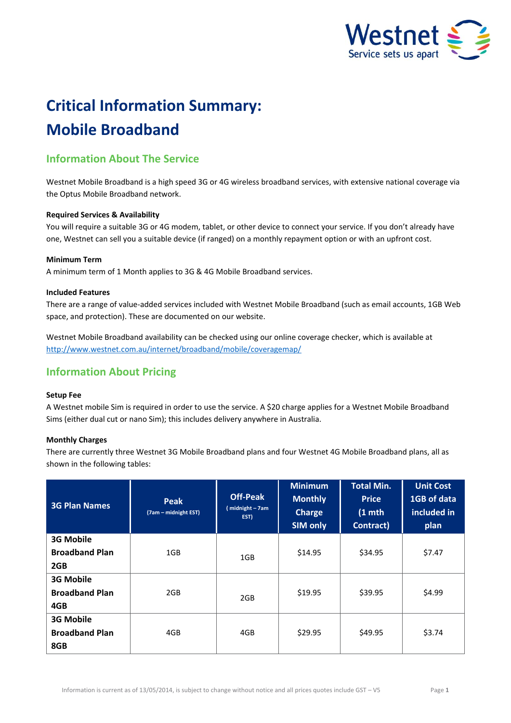

# **Critical Information Summary: Mobile Broadband**

## **Information About The Service**

Westnet Mobile Broadband is a high speed 3G or 4G wireless broadband services, with extensive national coverage via the Optus Mobile Broadband network.

#### **Required Services & Availability**

You will require a suitable 3G or 4G modem, tablet, or other device to connect your service. If you don't already have one, Westnet can sell you a suitable device (if ranged) on a monthly repayment option or with an upfront cost.

#### **Minimum Term**

A minimum term of 1 Month applies to 3G & 4G Mobile Broadband services.

#### **Included Features**

There are a range of value-added services included with Westnet Mobile Broadband (such as email accounts, 1GB Web space, and protection). These are documented on our website.

Westnet Mobile Broadband availability can be checked using our online coverage checker, which is available at <http://www.westnet.com.au/internet/broadband/mobile/coveragemap/>

## **Information About Pricing**

#### **Setup Fee**

A Westnet mobile Sim is required in order to use the service. A \$20 charge applies for a Westnet Mobile Broadband Sims (either dual cut or nano Sim); this includes delivery anywhere in Australia.

#### **Monthly Charges**

There are currently three Westnet 3G Mobile Broadband plans and four Westnet 4G Mobile Broadband plans, all as shown in the following tables:

| <b>3G Plan Names</b>                             | <b>Peak</b><br>(7am – midnight EST) | <b>Off-Peak</b><br>midnight - 7am<br>EST) | <b>Minimum</b><br><b>Monthly</b><br><b>Charge</b><br><b>SIM only</b> | <b>Total Min.</b><br><b>Price</b><br>$(1$ mth<br>Contract) | <b>Unit Cost</b><br>1GB of data<br>included in<br>plan |
|--------------------------------------------------|-------------------------------------|-------------------------------------------|----------------------------------------------------------------------|------------------------------------------------------------|--------------------------------------------------------|
| <b>3G Mobile</b><br><b>Broadband Plan</b><br>2GB | 1GB                                 | 1GB                                       | \$14.95                                                              | \$34.95                                                    | \$7.47                                                 |
| <b>3G Mobile</b><br><b>Broadband Plan</b><br>4GB | 2GB                                 | 2GB                                       | \$19.95                                                              | \$39.95                                                    | \$4.99                                                 |
| <b>3G Mobile</b><br><b>Broadband Plan</b><br>8GB | 4GB                                 | 4GB                                       | \$29.95                                                              | \$49.95                                                    | \$3.74                                                 |